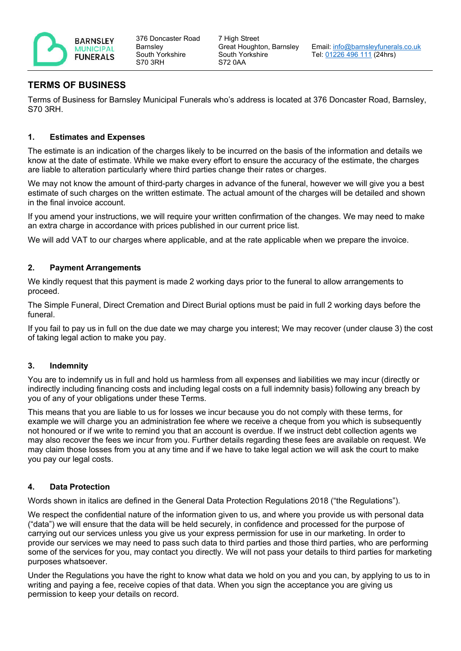

376 Doncaster Road **Barnsley** South Yorkshire S70 3RH

# **TERMS OF BUSINESS**

Terms of Business for Barnsley Municipal Funerals who's address is located at 376 Doncaster Road, Barnsley, S70 3RH.

### **1. Estimates and Expenses**

The estimate is an indication of the charges likely to be incurred on the basis of the information and details we know at the date of estimate. While we make every effort to ensure the accuracy of the estimate, the charges are liable to alteration particularly where third parties change their rates or charges.

We may not know the amount of third-party charges in advance of the funeral, however we will give you a best estimate of such charges on the written estimate. The actual amount of the charges will be detailed and shown in the final invoice account.

If you amend your instructions, we will require your written confirmation of the changes. We may need to make an extra charge in accordance with prices published in our current price list.

We will add VAT to our charges where applicable, and at the rate applicable when we prepare the invoice.

### **2. Payment Arrangements**

We kindly request that this payment is made 2 working days prior to the funeral to allow arrangements to proceed.

The Simple Funeral, Direct Cremation and Direct Burial options must be paid in full 2 working days before the funeral.

If you fail to pay us in full on the due date we may charge you interest; We may recover (under clause 3) the cost of taking legal action to make you pay.

#### **3. Indemnity**

You are to indemnify us in full and hold us harmless from all expenses and liabilities we may incur (directly or indirectly including financing costs and including legal costs on a full indemnity basis) following any breach by you of any of your obligations under these Terms.

This means that you are liable to us for losses we incur because you do not comply with these terms, for example we will charge you an administration fee where we receive a cheque from you which is subsequently not honoured or if we write to remind you that an account is overdue. If we instruct debt collection agents we may also recover the fees we incur from you. Further details regarding these fees are available on request. We may claim those losses from you at any time and if we have to take legal action we will ask the court to make you pay our legal costs.

#### **4. Data Protection**

Words shown in italics are defined in the General Data Protection Regulations 2018 ("the Regulations").

We respect the confidential nature of the information given to us, and where you provide us with personal data ("data") we will ensure that the data will be held securely, in confidence and processed for the purpose of carrying out our services unless you give us your express permission for use in our marketing. In order to provide our services we may need to pass such data to third parties and those third parties, who are performing some of the services for you, may contact you directly. We will not pass your details to third parties for marketing purposes whatsoever.

Under the Regulations you have the right to know what data we hold on you and you can, by applying to us to in writing and paying a fee, receive copies of that data. When you sign the acceptance you are giving us permission to keep your details on record.